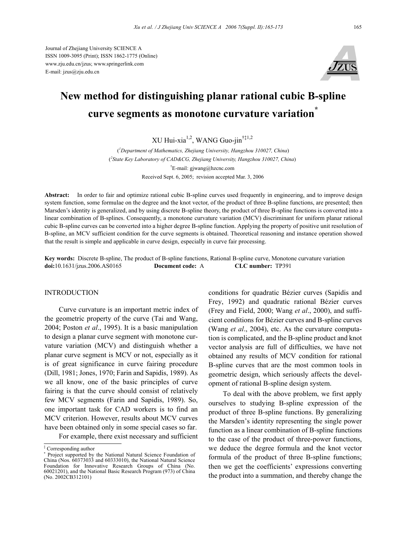Journal of Zhejiang University SCIENCE A ISSN 1009-3095 (Print); ISSN 1862-1775 (Online) www.zju.edu.cn/jzus; www.springerlink.com E-mail: jzus@zju.edu.cn



# **New method for distinguishing planar rational cubic B-spline curve segments as monotone curvature variation\***

XU Hui-xia1,2, WANG Guo-jin†‡1,2

( *1 Department of Mathematics, Zhejiang University, Hangzhou 310027, China*) ( *2 State Key Laboratory of CAD&CG, Zhejiang University, Hangzhou 310027, China*) † E-mail: gjwang@hzcnc.com Received Sept. 6, 2005; revision accepted Mar. 3, 2006

**Abstract:** In order to fair and optimize rational cubic B-spline curves used frequently in engineering, and to improve design system function, some formulae on the degree and the knot vector, of the product of three B-spline functions, are presented; then Marsden's identity is generalized, and by using discrete B-spline theory, the product of three B-spline functions is converted into a linear combination of B-splines. Consequently, a monotone curvature variation (MCV) discriminant for uniform planar rational cubic B-spline curves can be converted into a higher degree B-spline function. Applying the property of positive unit resolution of B-spline, an MCV sufficient condition for the curve segments is obtained. Theoretical reasoning and instance operation showed that the result is simple and applicable in curve design, especially in curve fair processing.

**Key words:** Discrete B-spline, The product of B-spline functions, Rational B-spline curve, Monotone curvature variation **doi:**10.1631/jzus.2006.AS0165 **Document code:** A **CLC number:** TP391

## INTRODUCTION

Curve curvature is an important metric index of the geometric property of the curve (Tai and Wang, 2004; Poston *et al*., 1995). It is a basic manipulation to design a planar curve segment with monotone curvature variation (MCV) and distinguish whether a planar curve segment is MCV or not, especially as it is of great significance in curve fairing procedure (Dill, 1981; Jones, 1970; Farin and Sapidis, 1989). As we all know, one of the basic principles of curve fairing is that the curve should consist of relatively few MCV segments (Farin and Sapidis, 1989). So, one important task for CAD workers is to find an MCV criterion. However, results about MCV curves have been obtained only in some special cases so far. For example, there exist necessary and sufficient

conditions for quadratic Bézier curves (Sapidis and Frey, 1992) and quadratic rational Bézier curves (Frey and Field, 2000; Wang *et al*., 2000), and sufficient conditions for Bézier curves and B-spline curves (Wang *et al*., 2004), etc. As the curvature computation is complicated, and the B-spline product and knot vector analysis are full of difficulties, we have not obtained any results of MCV condition for rational B-spline curves that are the most common tools in geometric design, which seriously affects the development of rational B-spline design system.

To deal with the above problem, we first apply ourselves to studying B-spline expression of the product of three B-spline functions. By generalizing the Marsden's identity representing the single power function as a linear combination of B-spline functions to the case of the product of three-power functions, we deduce the degree formula and the knot vector formula of the product of three B-spline functions; then we get the coefficients' expressions converting the product into a summation, and thereby change the

<sup>‡</sup> Corresponding author

<sup>∗</sup> Project supported by the National Natural Science Foundation of China (Nos. 60373033 and 60333010), the National Natural Science Foundation for Innovative Research Groups of China (No. 60021201), and the National Basic Research Program (973) of China (No. 2002CB312101)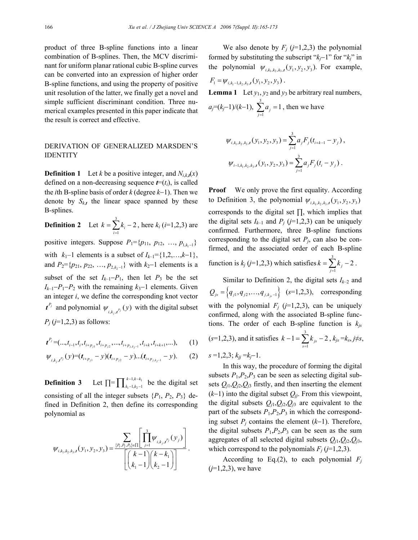product of three B-spline functions into a linear combination of B-splines. Then, the MCV discriminant for uniform planar rational cubic B-spline curves can be converted into an expression of higher order B-spline functions, and using the property of positive unit resolution of the latter, we finally get a novel and simple sufficient discriminant condition. Three numerical examples presented in this paper indicate that the result is correct and effective.

## DERIVATION OF GENERALIZED MARSDEN'S IDENTITY

**Definition 1** Let *k* be a positive integer, and  $N_{i,k,t}(x)$ defined on a non-decreasing sequence  $t=(t_i)$ , is called the *i*th B-spline basis of order *k* (degree *k*−1). Then we denote by  $S_{k,t}$  the linear space spanned by these B-splines.

**Definition 2** Let  $k = \sum_{i=1}^{3}$  $\sum_{i=1}^{k} k_i - 2$  $k = \sum k$  $=\sum_{i=1}^{n} k_i - 2$ , here  $k_i$  (*i*=1,2,3) are

positive integers. Suppose  $P_1 = \{p_{11}, p_{12}, ..., p_{1,k-1}\}$ with  $k_1-1$  elements is a subset of  $I_{k-1} = \{1,2,...,k-1\}$ , and  $P_2 = \{p_{21}, p_{22}, ..., p_{2,k-1}\}\$  with  $k_2-1$  elements is a subset of the set  $I_{k-1}-P_1$ , then let  $P_3$  be the set  $I_{k-1}-P_1-P_2$  with the remaining  $k_3-1$  elements. Given an integer *i*, we define the corresponding knot vector  $t^{P_j}$  and polynomial  $\psi_{i,k_i,t^{P_j}}(y)$  with the digital subset *Pj* (*j*=1,2,3) as follows:

$$
\boldsymbol{t}^{P_j} = (\ldots, t_{i-1}, t_i, t_{i+p_{j1}}, t_{i+p_{j2}}, \ldots, t_{i+p_{j,k_j-1}}, t_{i+k}, t_{i+k+1}, \ldots), \qquad (1)
$$

$$
\psi_{i,k_j,t^{p_j}}(y)=(t_{i+p_{j1}}-y)(t_{i+p_{j2}}-y)...(t_{i+p_{j,k_j-1}}-y).
$$
 (2)

**Definition 3** Let  $\prod = \prod_{k_1=1, k_2=1}^{n-1, n-k_1}$ 1,  $1, k_2-1$  $k-1, k-k$  $\prod_{k_1-1,k_2-1}^{k-1,k-k_1}$  be the digital set consisting of all the integer subsets  $\{P_1, P_2, P_3\}$  defined in Definition 2, then define its corresponding polynomial as

$$
\psi_{i,k_1,k_2,k_3,t}(y_1,y_2,y_3) = \frac{\sum\limits_{\{P_1,P_2,P_3\} \in \prod_{j=1}^3} \left[ \prod_{j=1}^3 \psi_{i,k_j,t^{P_j}}(y_j) \right]}{\left[ \binom{k-1}{k_1-1} \binom{k-k_1}{k_2-1} \right]}.
$$

We also denote by  $F_i$  ( $i=1,2,3$ ) the polynomial formed by substituting the subscript "*kj*−1" for "*kj*" in the polynomial  $\psi_{i,k_1,k_2,k_3,t} (y_1, y_2, y_3)$ . For example,  $F_1 = \psi_{i, k_1 - 1, k_2, k_3, t}(y_1, y_2, y_3)$ .

**Lemma 1** Let  $y_1, y_2$  and  $y_3$  be arbitrary real numbers,

$$
a_j=(k_j-1)/(k-1)
$$
,  $\sum_{j=1}^3 a_j=1$ , then we have

$$
\psi_{i,k_1,k_2,k_3,t}(y_1,y_2,y_3) = \sum_{j=1}^3 a_j F_j(t_{i+k-1} - y_j),
$$
  

$$
\psi_{i-1,k_1,k_2,k_3,t}(y_1,y_2,y_3) = \sum_{j=1}^3 a_j F_j(t_i - y_j).
$$

**Proof** We only prove the first equality. According to Definition 3, the polynomial  $\psi_{i,k_1,k_2,k_3,t}(\mathcal{Y}_1, \mathcal{Y}_2, \mathcal{Y}_3)$ corresponds to the digital set ∏, which implies that the digital sets  $I_{k-1}$  and  $P_j$  ( $j=1,2,3$ ) can be uniquely confirmed. Furthermore, three B-spline functions corresponding to the digital set  $P_j$ , can also be confirmed, and the associated order of each B-spline function is  $k_j$  (*j*=1,2,3) which satisfies  $k = \sum_{j=1}^{3}$  $\sum_{j=1}^{n} k_j - 2$  $k = \sum k$  $=\sum_{j=1}^{n}k_{j}-2$ .

Similar to Definition 2, the digital sets  $I_{k-2}$  and  ${Q}_{js} = \left\{ q_{j1}, q_{j2},..., q_{j,k_s-1} \right\}$  (s=1,2,3), corresponding with the polynomial  $F_i$  ( $j=1,2,3$ ), can be uniquely confirmed, along with the associated B-spline functions. The order of each B-spline function is  $k_{is}$  $(s=1,2,3)$ , and it satisfies  $k-1=\sum_{i=1}^{3}$  $1 = \sum_{s=1}^{ } k_{js} - 2$  $k-1=\sum k$  $-1 = \sum_{s=1}^{ } k_{js} -2$  ,  $k_{js} = k_s, j \neq s$ ,  $s = 1, 2, 3$ ;  $k_{ij} = k_{i} - 1$ .

In this way, the procedure of forming the digital subsets  $P_1$ , $P_2$ , $P_3$  can be seen as selecting digital subsets  $Q_{i1}, Q_{i2}, Q_{i3}$  firstly, and then inserting the element (*k*−1) into the digital subset *Qjj*. From this viewpoint, the digital subsets  $Q_{j1}, Q_{j2}, Q_{j3}$  are equivalent to the part of the subsets  $P_1$ ,  $P_2$ ,  $P_3$  in which the corresponding subset *Pj* contains the element (*k*−1). Therefore, the digital subsets  $P_1$ ,  $P_2$ ,  $P_3$  can be seen as the sum aggregates of all selected digital subsets *Qj*1,*Qj*2,*Qj*3, which correspond to the polynomials  $F_j$  ( $j=1,2,3$ ).

According to Eq.(2), to each polynomial  $F_i$ (*j*=1,2,3), we have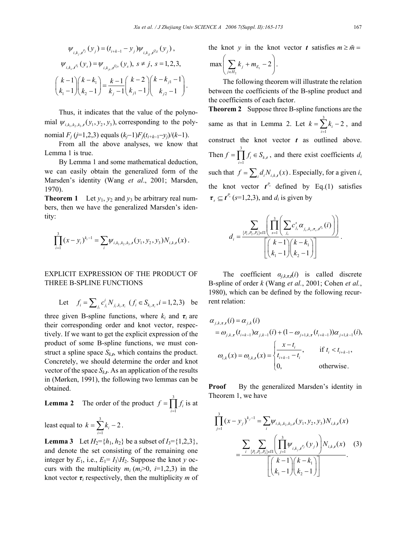.

$$
\psi_{i,k_j,t^{p_j}}(y_j) = (t_{i+k-1} - y_j)\psi_{i,k_{jj},t^{Q_{jj}}}(y_j),
$$
  

$$
\psi_{i,k_s,t^{p_s}}(y_s) = \psi_{i,k_{j},t^{Q_{j_s}}}(y_s), s \neq j, s = 1,2,3,
$$
  

$$
\binom{k-1}{k_1-1}\binom{k-k_1}{k_2-1} = \frac{k-1}{k_j-1}\binom{k-2}{k_{j1}-1}\binom{k-k_{j1}-1}{k_{j2}-1}
$$

Thus, it indicates that the value of the polynomial  $\psi_{i, k_1, k_2, k_3, t} (y_1, y_2, y_3)$ , corresponding to the polynomial  $F_i$  ( $j=1,2,3$ ) equals  $(k_i-1)F_j(t_{i+k-1}-y_i)/(k-1)$ .

From all the above analyses, we know that Lemma 1 is true.

By Lemma 1 and some mathematical deduction, we can easily obtain the generalized form of the Marsden's identity (Wang *et al*., 2001; Marsden, 1970).

**Theorem 1** Let  $y_1$ ,  $y_2$  and  $y_3$  be arbitrary real numbers, then we have the generalized Marsden's identity:

$$
\prod_{i=1}^3 (x-y_i)^{k_i-1} = \sum_i \psi_{i,k_1,k_2,k_3,t}(y_1,y_2,y_3) N_{i,k,t}(x).
$$

# EXPLICIT EXPRESSION OF THE PRODUCT OF THREE B-SPLINE FUNCTIONS

Let 
$$
f_i = \sum_{j_i} c_{j_i}^i N_{j_i, k_i, \tau_i}
$$
  $(f_i \in S_{k_i, \tau_i}, i = 1, 2, 3)$  be

three given B-spline functions, where  $k_i$  and  $\tau_i$  are their corresponding order and knot vector, respectively. If we want to get the explicit expression of the product of some B-spline functions, we must construct a spline space  $S_{k,t}$ , which contains the product. Concretely, we should determine the order and knot vector of the space  $S_{k,t}$ . As an application of the results in (Mørken, 1991), the following two lemmas can be obtained.

**Lemma 2** The order of the product 
$$
f = \prod_{i=1}^{3} f_i
$$
 is at

least equal to  $k = \sum_{i=1}^{3}$  $\sum_{i=1}^{k} k_i - 2$  $k = \sum k$  $=\sum_{i=1}^{ } k_i - 2$ .

**Lemma 3** Let  $H_2 = \{h_1, h_2\}$  be a subset of  $I_3 = \{1,2,3\}$ , and denote the set consisting of the remaining one integer by  $E_1$ , i.e.,  $E_1 = I_3 \backslash H_2$ . Suppose the knot *y* occurs with the multiplicity  $m_i$  ( $m_i$ >0, *i*=1,2,3) in the knot vector  $\tau_i$  respectively, then the multiplicity *m* of the knot *y* in the knot vector *t* satisfies  $m \geq m =$ 

$$
\max\bigg(\sum_{j\in H_2}k_j+m_{E_1}-2\bigg).
$$

The following theorem will illustrate the relation between the coefficients of the B-spline product and the coefficients of each factor.

**Theorem 2** Suppose three B-spline functions are the same as that in Lemma 2. Let  $k = \sum_{i=1}^{3} k_i - 2$ 1 *i*  $=\sum_{i=1}^{n} k_i - 2$ , and construct the knot vector *t* as outlined above. Then  $f = \prod^3$  $\prod_{i=1}^{\infty} J_i \subseteq D_{k_i}$  $f = \prod f_i \in S$  $=\prod_{i=1}^{n} f_i \in S_{k,t}$ , and there exist coefficients *d<sub>i</sub>* such that  $f = \sum_i d_i N_{i,k,t}(x)$ . Especially, for a given *i*, the knot vector  $t^{P_s}$  defined by Eq.(1) satisfies  $\tau_{s} \subseteq t^{P_s}$  (*s*=1,2,3), and *d<sub>i</sub>* is given by

$$
d_i = \frac{\sum_{\{P_1, P_2, P_3\} \in \Pi} \left( \prod_{s=1}^3 \left( \sum_{j_s} c_{j_s}^s \alpha_{j_s, k_s, \tau_s, t^{P_s}}(i) \right) \right)}{\left[ \binom{k-1}{k-1} \binom{k-k_1}{k_2-1} \right]}.
$$

The coefficient  $\alpha_{i,k,\tau}$ *t*(*i*) is called discrete B-spline of order *k* (Wang *et al.*, 2001; Cohen *et al.*, 1980), which can be defined by the following recurrent relation:

$$
\alpha_{j,k,\tau,t}(i) = \alpha_{j,k}(i)
$$
  
=  $\omega_{j,k,\tau}(t_{i+k-1})\alpha_{j,k-1}(i) + (1 - \omega_{j+1,k,\tau}(t_{i+k-1}))\alpha_{j+1,k-1}(i),$   

$$
\omega_{i,k}(x) = \omega_{i,k,t}(x) = \begin{cases} \frac{x - t_i}{t_{i+k-1} - t_i}, & \text{if } t_i < t_{i+k-1}, \\ 0, & \text{otherwise.} \end{cases}
$$

**Proof** By the generalized Marsden's identity in Theorem 1, we have

$$
\prod_{j=1}^{3} (x - y_{j})^{k_{j}-1} = \sum_{i} \psi_{i,k_{1},k_{2},k_{3},t} (y_{1}, y_{2}, y_{3}) N_{i,k,t}(x)
$$
\n
$$
= \frac{\sum_{i} \sum_{\{P_{1},P_{2},P_{3}\} \in \Pi} \left( \prod_{j=1}^{3} \psi_{i,k_{j},t^{p_{j}}}(y_{j}) \right) N_{i,k,t}(x)}{\left[ \binom{k-1}{k_{1}-1} \binom{k-k_{1}}{k_{2}-1} \right]}.
$$
\n(3)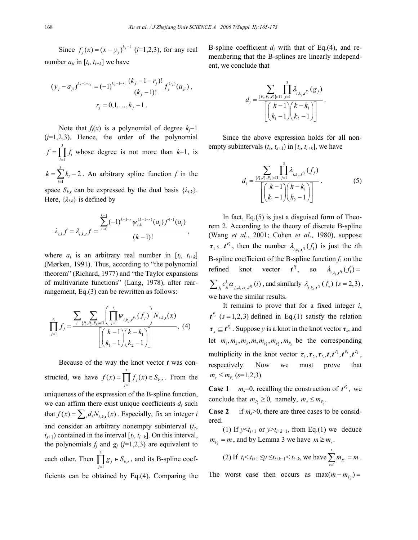Since  $f_j(x) = (x - y_j)^{k_j - 1}$  (*j*=1,2,3), for any real number  $a_{ji}$  in  $[t_i, t_{i+k}]$  we have

$$
(y_j - a_{ji})^{k_j - 1 - r_j} = (-1)^{k_j - 1 - r_j} \frac{(k_j - 1 - r_j)!}{(k_j - 1)!} f_j^{(r_j)}(a_{ji}),
$$
  

$$
r_j = 0, 1, ..., k_j - 1.
$$

Note that  $f_i(x)$  is a polynomial of degree  $k_i-1$ (*j*=1,2,3). Hence, the order of the polynomial 3 1  $f = \prod f_i$  whose degree is not more than  $k-1$ , is *i* = 3

 $\sum_{i=1}^{k} k_i - 2$  $k = \sum k$  $=\sum_{i=1}^{6} k_i - 2$ . An arbitrary spline function *f* in the

space  $S_{k,t}$  can be expressed by the dual basis  $\{\lambda_{i,k}\}.$ Here,  $\{\lambda_{i,k}\}\)$  is defined by

$$
\lambda_{i,k} f = \lambda_{i,k,t} f = \frac{\sum_{r=0}^{k-1} (-1)^{k-1-r} \psi_{i,k}^{(k-1-r)}(a_i) f^{(r)}(a_i)}{(k-1)!},
$$

where  $a_i$  is an arbitrary real number in  $[t_i, t_{i+k}]$ (Mørken, 1991). Thus, according to "the polynomial theorem" (Richard, 1977) and "the Taylor expansions of multivariate functions" (Lang, 1978), after rearrangement, Eq.(3) can be rewritten as follows:

$$
\prod_{j=1}^{3} f_j = \frac{\sum_{i} \sum_{\{P_1, P_2, P_3\} \in \Pi} \left( \prod_{j=1}^{3} \psi_{i,k_j,t^{P_j}}(f_j) \right) N_{i,k,t}(x)}{\left[ \binom{k-1}{k-1} \binom{k-k_1}{k_2-1} \right]}, \tag{4}
$$

Because of the way the knot vector *t* was constructed, we have  $f(x) = \int_0^3$  $f(x) = \prod_{j=1}^{n} f_j(x) \in S_{k,j}$  $f(x) = \prod f_i(x) \in S$  $=\prod_{j=1} f_j(x) \in S_{k,t}$ . From the uniqueness of the expression of the B-spline function, we can affirm there exist unique coefficients  $d_i$  such that  $f(x) = \sum_{i} d_i N_{i,k,t}(x)$ . Especially, fix an integer *i* and consider an arbitrary nonempty subinterval (*ts*,  $t_{s+1}$ ) contained in the interval  $[t_i, t_{i+k}]$ . On this interval, the polynomials  $f_j$  and  $g_j$  ( $j=1,2,3$ ) are equivalent to each other. Then  $\int_0^3$  $\prod_{j=1}$   $\mathcal{S}_j$   $\subset \mathcal{S}_k$ ,  $g_i \in S$  $\prod_{j=1}$   $g_j \in S_{k,t}$ , and its B-spline coefficients can be obtained by Eq.(4). Comparing the

B-spline coefficient  $d_i$  with that of Eq.(4), and remembering that the B-splines are linearly independent, we conclude that

$$
d_i=\frac{\displaystyle\sum_{\{P_i,P_2,P_3\}\in \Pi}\prod_{j=1}^3\lambda_{i,k_j,t^{p_j}}(g_j)}{\left[\binom{k-1}{k_1-1}\binom{k-k_1}{k_2-1}\right]}.
$$

Since the above expression holds for all nonempty subintervals  $(t_s, t_{s+1})$  in  $[t_i, t_{i+k}]$ , we have

$$
d_{i} = \frac{\sum_{\{P_{1}, P_{2}, P_{3}\} \in \Pi} \prod_{j=1}^{3} \lambda_{i,k_{j},t^{p_{j}}}(f_{j})}{\left[\binom{k-1}{k_{1}-1} \binom{k-k_{1}}{k_{2}-1}\right]}.
$$
(5)

In fact, Eq.(5) is just a disguised form of Theorem 2. According to the theory of discrete B-spline (Wang *et al*., 2001; Cohen *et al*., 1980), suppose  $\tau_1 \subseteq t^{P_1}$ , then the number  $\lambda_{i,k_1,t^{P_1}}(f_1)$  is just the *i*th B-spline coefficient of the B-spline function  $f_1$  on the refined knot vector  $t^R$ , so  $\lambda_{i,k_1,t^R}(f_1) =$  $I_1 \cup I_1 \cup I_{1}, k_1, \tau_1, t^{\prime 1}$  $\sum_{j_1} c_{j_1}^1 \alpha_{j_1, k_1, r_1, t^n_1}(i)$ , and similarly  $\lambda_{i, k_s, t^{p_s}_s}(f_s)$  (s = 2,3), we have the similar results.

It remains to prove that for a fixed integer *i*,  $t^{P_s}$  ( $s = 1,2,3$ ) defined in Eq.(1) satisfy the relation  $\tau_{\zeta} \subseteq t^{P_s}$ . Suppose *y* is a knot in the knot vector  $\tau_s$ , and let  $m_1, m_2, m_3, m, m_R, m_R, m_R$  be the corresponding multiplicity in the knot vector  $\tau_1, \tau_2, \tau_3, t, t^{P_1}, t^{P_2}, t^{P_3}$ , respectively. Now we must prove that  $m_s \leq m_p \ (s=1,2,3).$ 

**Case 1** *m<sub>s</sub>*=0, recalling the construction of  $t^{P_s}$ , we conclude that  $m_p \geq 0$ , namely,  $m_s \leq m_p$ .

**Case 2** if  $m \ge 0$ , there are three cases to be considered.

(1) If  $y \le t_{i+1}$  or  $y \ge t_{i+k-1}$ , from Eq.(1) we deduce  $m_p = m$ , and by Lemma 3 we have  $m \ge m_s$ .

(2) If 
$$
t_i < t_{i+1} \le y \le t_{i+k-1} < t_{i+k}
$$
, we have  $\sum_{s=1}^{3} m_{P_s} = m$ .

The worst case then occurs as  $max(m - m_p) =$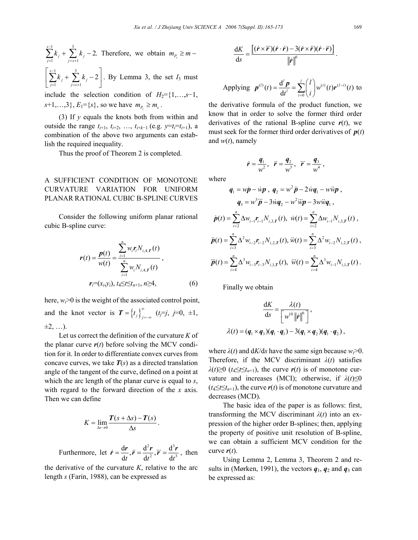$$
\sum_{j=1}^{s-1} k_j + \sum_{j=s+1}^{3} k_j - 2.
$$
 Therefore, we obtain  $m_{P_s} \ge m -$   

$$
\begin{bmatrix} s-1 & 3 \end{bmatrix}
$$

1  $j = s + 1$  $\sum_{i=1}^{s-1} k_i + \sum_{i=1}^{3} k_i - 2$  $\sum_{j=1}^{\infty}$ <sup>*n*</sup> *j*  $\sum_{j=s+1}$ *n*<sup>*j*</sup>  $\sum_{i=1}^{-1}k_{i}+\sum_{i=1}^{3}k_{i}$  $=1$   $j=s+$  $\left[\sum_{j=1}^{s-1}k_j+\sum_{j=s+1}^3k_j-2\right]$ . By Lemma 3, the set  $I_3$  must

include the selection condition of  $H_2 = \{1, \ldots, s-1\}$ ,  $s+1, \ldots, 3$ ,  $E_1 = \{s\}$ , so we have  $m_P \ge m_s$ .

(3) If *y* equals the knots both from within and outside the range  $t_{i+1}$ ,  $t_{i+2}$ , ...,  $t_{i+k-1}$  (e.g.  $y=t_i=t_{i+1}$ ), a combination of the above two arguments can establish the required inequality.

Thus the proof of Theorem 2 is completed.

# A SUFFICIENT CONDITION OF MONOTONE CURVATURE VARIATION FOR UNIFORM PLANAR RATIONAL CUBIC B*-*SPLINE CURVES

Consider the following uniform planar rational cubic B-spline curve:

$$
r(t) = \frac{p(t)}{w(t)} = \frac{\sum_{i=1}^{n} w_i r_i N_{i,4,T}(t)}{\sum_{i=1}^{n} w_i N_{i,4,T}(t)},
$$
  

$$
r_i = (x_{i}, y_i), t_4 \le t \le t_{n+1}, n \ge 4,
$$
 (6)

here,  $w_i > 0$  is the weight of the associated control point, and the knot vector is  $T = \{t_j\}_{j = -\infty}^{\infty}$  ( $t = j$ , *j*=0, ±1,  $\pm 2, \ldots$ ).

Let us correct the definition of the curvature *K* of the planar curve  $r(t)$  before solving the MCV condition for it. In order to differentiate convex curves from concave curves, we take  $T(s)$  as a directed translation angle of the tangent of the curve, defined on a point at which the arc length of the planar curve is equal to *s*, with regard to the forward direction of the *x* axis. Then we can define

$$
K = \lim_{\Delta s \to 0} \frac{T(s + \Delta s) - T(s)}{\Delta s}.
$$

Furthermore, let  $\vec{r} = \frac{dr}{dx}$ ,  $\vec{r} = \frac{d^2r}{dx^2}$ ,  $\vec{r} = \frac{d^3}{dx^3}$  $\dot{\mathbf{r}} = \frac{\mathrm{d}\mathbf{r}}{\mathrm{d}t}, \ddot{\mathbf{r}} = \frac{\mathrm{d}^2\mathbf{r}}{\mathrm{d}t^2}, \dddot{\mathbf{r}} = \frac{\mathrm{d}^3\mathbf{r}}{\mathrm{d}t^3}, \text{ then}$ 

the derivative of the curvature *K*, relative to the arc length *s* (Farin, 1988), can be expressed as

$$
\frac{dK}{ds} = \frac{\left[ (\dot{r} \times \ddot{r})(\dot{r} \cdot \dot{r}) - 3(\dot{r} \times \ddot{r})(\dot{r} \cdot \ddot{r}) \right]}{\left\| \dot{r} \right\|^{6}}.
$$

Applying 
$$
\mathbf{p}^{(i)}(t) = \frac{d^i \mathbf{p}}{dt^i} = \sum_{i=0}^l {i \choose i} w^{(i)}(t) \mathbf{r}^{(l-i)}(t)
$$
 to

the derivative formula of the product function, we know that in order to solve the former third order derivatives of the rational B-spline curve  $r(t)$ , we must seek for the former third order derivatives of  $p(t)$ and *w*(*t*), namely

$$
\dot{r} = \frac{q_1}{w^2}, \quad \ddot{r} = \frac{q_2}{w^3}, \quad \dddot{r} = \frac{q_3}{w^4},
$$

where

$$
q_{1} = w\dot{p} - \dot{w}p, \ q_{2} = w^{2}\ddot{p} - 2\dot{w}q_{1} - w\ddot{w}p,
$$
  
\n
$$
q_{3} = w^{3}\ddot{p} - 3\dot{w}q_{2} - w^{2}\ddot{w}p - 3w\ddot{w}q_{1},
$$
  
\n
$$
\dot{p}(t) = \sum_{i=2}^{n} \Delta w_{i-1}r_{i-1}N_{i,3,T}(t), \ \dot{w}(t) = \sum_{i=2}^{n} \Delta w_{i-1}N_{i,3,T}(t),
$$
  
\n
$$
\ddot{p}(t) = \sum_{i=3}^{n} \Delta^{2}w_{i-2}r_{i-2}N_{i,2,T}(t), \ \ddot{w}(t) = \sum_{i=3}^{n} \Delta^{2}w_{i-2}N_{i,2,T}(t),
$$
  
\n
$$
\dddot{p}(t) = \sum_{i=4}^{n} \Delta^{3}w_{i-3}r_{i-3}N_{i,1,T}(t), \ \ddot{w}(t) = \sum_{i=4}^{n} \Delta^{3}w_{i-1}N_{i,1,T}(t).
$$

Finally we obtain

$$
\frac{dK}{ds} = \frac{\lambda(t)}{\left[w^{10} ||\dot{r}||^6\right]},
$$
  

$$
\lambda(t) = (q_1 \times q_3)(q_1 \cdot q_1) - 3(q_1 \times q_2)(q_1 \cdot q_2),
$$

where  $\lambda(t)$  and  $dK/ds$  have the same sign because  $w_i > 0$ . Therefore, if the MCV discriminant  $\lambda(t)$  satisfies  $\lambda(t) \ge 0$  ( $t_4 \le t \le t_{n+1}$ ), the curve  $r(t)$  is of monotone curvature and increases (MCI); otherwise, if  $\lambda(t) \le 0$  $(t_4 \le t \le t_{n+1})$ , the curve  $r(t)$  is of monotone curvature and decreases (MCD).

The basic idea of the paper is as follows: first, transforming the MCV discriminant  $\lambda(t)$  into an expression of the higher order B-splines; then, applying the property of positive unit resolution of B-spline, we can obtain a sufficient MCV condition for the curve  $r(t)$ .

Using Lemma 2, Lemma 3, Theorem 2 and results in (Mørken, 1991), the vectors  $q_1$ ,  $q_2$  and  $q_3$  can be expressed as: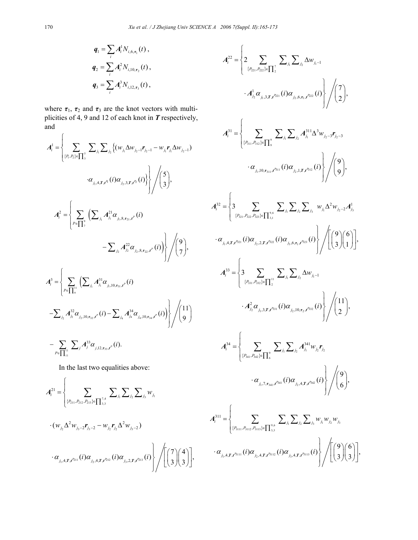$$
q_1 = \sum_i A_i^1 N_{i,6,\tau_1}(t) ,
$$
  
\n
$$
q_2 = \sum_i A_i^2 N_{i,10,\tau_2}(t) ,
$$
  
\n
$$
q_3 = \sum_i A_i^3 N_{i,12,\tau_3}(t) ,
$$

where  $\tau_1$ ,  $\tau_2$  and  $\tau_3$  are the knot vectors with multiplicities of 4, 9 and 12 of each knot in *T* respectively, and

$$
A_{i}^{1} = \left\{\sum_{\{P_{i}, P_{2}\}\in\prod_{3}^{s}}\sum_{j_{i}}\sum_{j_{i}}\left\{ (w_{j_{1}}\Delta w_{j_{2}-1}r_{j_{2}-1} - w_{j_{1}}r_{j_{1}}\Delta w_{j_{2}-1}) \right\} \right\}
$$

$$
\cdot \alpha_{j_{1},4,\mathbf{r},\mathbf{r}^{n}}(i)\alpha_{j_{2},3,\mathbf{r},\mathbf{r}^{n}}(i)\right\}\left/\binom{5}{3},
$$

$$
A_{i}^{2} = \left\{\sum_{P\in\prod_{3}^{s}}\left(\sum_{j_{1}}A_{j_{1}}^{21}\alpha_{j_{1},8,\mathbf{r}_{21},\mathbf{r}^{p}}(i) - \sum_{j_{2}}A_{j_{2}}^{22}\alpha_{j_{2},8,\mathbf{r}_{22},\mathbf{r}^{p}}(i)\right)\right/\binom{9}{7},
$$

$$
A_{i}^{3} = \left\{\sum_{P\in\prod_{3}^{11}}\left(\sum_{j_{1}}A_{j_{1}}^{31}\alpha_{j_{1},10,\mathbf{r}_{31},\mathbf{r}^{p}}(i) - \sum_{j_{4}}A_{j_{4}}^{34}\alpha_{j_{4},10,\mathbf{r}_{34},\mathbf{r}^{p}}(i)\right)\right/\binom{9}{7},
$$

$$
- \sum_{P\in\prod_{11}^{11}}\sum_{j}A_{j_{2}}^{32}\alpha_{j_{2},10,\mathbf{r}_{32},\mathbf{r}^{p}}(i) - \sum_{j_{4}}A_{j_{4}}^{34}\alpha_{j_{4},10,\mathbf{r}_{34},\mathbf{r}^{p}}(i)\right\}/\binom{11}{9}
$$

$$
+ \sum_{P\in\prod_{11}^{11}}\sum_{j}A_{j}^{33}\alpha_{j,12,\mathbf{r}_{33},\mathbf{r}^{p}}(i).
$$

In the last two equalities above:

$$
A_{i}^{21} = \left\{\sum_{\{P_{211}, P_{212}, P_{213}\} \in \prod_{3,3}^{7,4} \sum_{j_{1}} \sum_{j_{2}} \sum_{j_{3}} w_{j_{1}} \cdots (w_{j_{2}} \Delta^{2} w_{j_{3}-2} r_{j_{3}-2} - w_{j_{2}} r_{j_{2}} \Delta^{2} w_{j_{3}-2}) \cdots \alpha_{j_{1},4,T,t^{p_{21}}} (i) \alpha_{j_{2},4,T,t^{p_{21}}} (i) \alpha_{j_{3},2,T,t^{p_{21}}} (i) \right\} / \left[ \left( \frac{7}{3} \right) \binom{4}{3} \right],
$$

$$
A_{i}^{22} = \left\{ 2 \sum_{\{P_{21}, P_{22}\} \in \prod_{j=1}^{7}} \sum_{j} \sum_{j_{1}} \Delta w_{j_{1}-1} \right. \\ \left. \cdot A_{j_{2}}^{1} \alpha_{j_{1},3,T,t^{n_{21}}}(i) \alpha_{j_{2},6,\mathbf{r}_{1},t^{n_{22}}}(i) \right\} / {\binom{7}{2}},
$$
  

$$
A_{i}^{31} = \left\{ \sum_{\{P_{31}, P_{32}\} \in \prod_{j=1}^{8}} \sum_{j_{1}} \sum_{j_{2}} A_{j_{1}}^{311} \Delta^{3} w_{j_{2}-3} \mathbf{r}_{j_{2}-3} \right. \\ \left. \cdot \alpha_{j_{1},10,\mathbf{r}_{311},t^{311}}(i) \alpha_{j_{2},1,T,t^{312}}(i) \right\} / {\binom{9}{9}},
$$
  

$$
A_{i}^{32} = \left\{ 3 \sum_{\{P_{31}, P_{32}, P_{33}\} \in \prod_{j_{3},1}^{9,6} \sum_{j_{1}} \sum_{j_{2}} \sum_{j_{3}} w_{j_{1}} \Delta^{2} w_{j_{2}-2} A_{j_{3}}^{1} \right. \\ \left. \cdot \alpha_{j_{1},4,T,t^{321}}(i) \alpha_{j_{2},2,T,t^{322}}(i) \alpha_{j_{3},6,\mathbf{r}_{1},t^{323}}(i) \right\} / {\left[ \binom{9}{3} \binom{6}{1} \right]},
$$
  

$$
A_{i}^{33} = \left\{ 3 \sum_{\{P_{33}, P_{32}\} \in \prod_{1}^{9,6} \sum_{j_{1}} \sum_{j_{2}} \Delta w_{j_{1}-1} \right. \\ \left. \cdot A_{j_{2}}^{2} \alpha_{j_{1},3,T,t^{331}}(i) \alpha_{j_{2},10,\mathbf{r}_{2},t^{332}}(i) \right\} / {\binom{11}{2}},
$$
  

$$
A_{i}^{34} = \left\{ \sum_{\{P_{31}, P_{32}\} \in \prod_{6}^{9} \sum_{j_{1}} \sum_{j_{2}} \Delta_{j_{1}} \Delta w_{j_{1}-1} \right. \\ \left. \
$$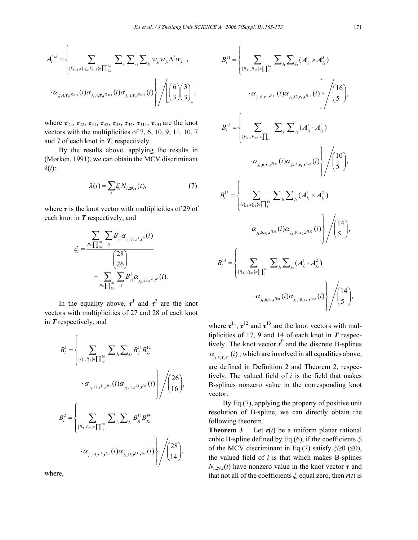$\sqrt{ }$ 

$$
A_{i}^{341} = \left\{\sum_{\{P_{3411}, P_{3412}, P_{3413}\} \in \prod_{3,3}^{6,3}} \sum_{j_{1}} \sum_{j_{2}} \sum_{j_{3}} w_{j_{1}} w_{j_{2}} \Delta^{3} w_{j_{3}-3} \right\}
$$

$$
\cdot \alpha_{j_{1},4,T,t^{P_{3411}}}(i) \alpha_{j_{2},4,T,t^{P_{3412}}}(i) \alpha_{j_{3},1,T,t^{P_{3413}}}(i) \right\} / \left( \left( \frac{6}{3} \right) \left( \frac{3}{3} \right) \right],
$$

where *τ*21, *τ*22, *τ*31, *τ*32, *τ*33, *τ*34, *τ*311, *τ*341 are the knot vectors with the multiplicities of 7, 6, 10, 9, 11, 10, 7 and 7 of each knot in *T*, respectively.

By the results above, applying the results in (Mørken, 1991), we can obtain the MCV discriminant *λ*(*t*):

$$
\lambda(t) = \sum_{i} \xi_i N_{i,29,\tau}(t),\tag{7}
$$

where  $\tau$  is the knot vector with multiplicities of 29 of each knot in *T* respectively, and

$$
\xi_{i} = \frac{\sum_{P \in \prod_{26}^{28}} \sum_{j_{1}} B_{j_{1}}^1 \alpha_{j_{1},27,\tau^{1},t^{P}}(i)}{\binom{28}{26}} - \sum_{P \in \prod_{28}^{28}} \sum_{j_{2}} B_{j_{2}}^2 \alpha_{j_{2},29,\tau^{2},t^{P}}(i).
$$

In the equality above,  $\tau^1$  and  $\tau^2$  are the knot vectors with multiplicities of 27 and 28 of each knot in *T* respectively, and

$$
B_{i}^{1} = \left\{ \sum_{\{P_{11}, P_{12}\} \in \prod_{16}^{26}} \sum_{j_{1}} \sum_{j_{2}} B_{j_{1}}^{11} B_{j_{2}}^{12} + \alpha_{j_{1}, 17, \tau^{11}, \tau^{11}, \tau^{11}}(i) \alpha_{j_{2}, 11, \tau^{12}, \tau^{12}}(i) \right\} / \left\langle \begin{matrix} 26 \\ 16 \end{matrix} \right\rangle,
$$
  

$$
B_{i}^{2} = \left\{ \sum_{\{P_{21}, P_{22}\} \in \prod_{14}^{28}} \sum_{j_{1}} \sum_{j_{2}} B_{j_{1}}^{13} B_{j_{2}}^{14} + \alpha_{j_{1}, 15, \tau^{13}, \tau^{12}, \tau^{12}}(i) \alpha_{j_{2}, 15, \tau^{13}, \tau^{12}}(i) \alpha_{j_{2}, 15, \tau^{13}, \tau^{12}}(i) \right\} / \left\langle \begin{matrix} 28 \\ 14 \end{matrix} \right\rangle,
$$

where,

$$
B_{i}^{11} = \left\{ \sum_{\{P_{111}, P_{112}\} \in \prod_{5}^{16}} \sum_{j_{j}} \sum_{j_{j}} (A_{j_{1}}^{1} \times A_{j_{2}}^{3}) \right\} \cdot \alpha_{j_{1}, 6, \tau_{1}, f^{n_{11}}}(i) \alpha_{j_{2}, 12, \tau_{3}, f^{n_{12}}}(i) \right\} / {16 \choose 5},
$$
  
\n
$$
B_{i}^{12} = \left\{ \sum_{\{P_{121}, P_{122}\} \in \prod_{5}^{16}} \sum_{j_{j}} \sum_{j_{j}} (A_{j_{1}}^{1} \cdot A_{j_{2}}^{1}) \cdot \alpha_{j_{1}, 6, \tau_{1}, f^{n_{21}}}(i) \alpha_{j_{2}, 6, \tau_{1}, f^{n_{22}}}(i) \right\} / {10 \choose 5},
$$
  
\n
$$
B_{i}^{13} = \left\{ \sum_{\{P_{131}, P_{132}\} \in \prod_{5}^{14}} \sum_{j_{j}} \sum_{j_{j}} (A_{j_{1}}^{1} \times A_{j_{2}}^{2}) \cdot \alpha_{j_{1}, 6, \tau_{1}, f^{n_{31}}}(i) \alpha_{j_{2}, 10, \tau_{2}, f^{n_{32}}}(i) \right\} / {14 \choose 5},
$$
  
\n
$$
B_{i}^{14} = \left\{ \sum_{\{P_{141}, P_{142}\} \in \prod_{5}^{14}} \sum_{j_{j}} \sum_{j_{j}} (A_{j_{1}}^{1} \cdot A_{j_{2}}^{2}) \cdot \alpha_{j_{1}, 6, \tau_{1}, f^{n_{141}}}(i) \alpha_{j_{2}, 10, \tau_{2}, f^{n_{142}}}(i) \right\} / {14 \choose 5},
$$

where  $\tau^{11}$ ,  $\tau^{12}$  and  $\tau^{13}$  are the knot vectors with multiplicities of 17, 9 and 14 of each knot in *T* respectively. The knot vector  $t^P$  and the discrete B-splines  $\alpha_{i,k,T,t^p}(i)$ , which are involved in all equalities above,

are defined in Definition 2 and Theorem 2, respectively. The valued field of *i* is the field that makes B-splines nonzero value in the corresponding knot vector.

By Eq.(7), applying the property of positive unit resolution of B-spline, we can directly obtain the following theorem.

**Theorem 3** Let  $r(t)$  be a uniform planar rational cubic B-spline defined by Eq.(6), if the coefficients *ξ<sup>i</sup>* of the MCV discriminant in Eq.(7) satisfy *ξi*≥0 (≤0), the valued field of *i* is that which makes B-splines  $N_{i,29,r}(t)$  have nonzero value in the knot vector  $\tau$  and that not all of the coefficients  $\zeta$ <sup>*i*</sup> equal zero, then  $r(t)$  is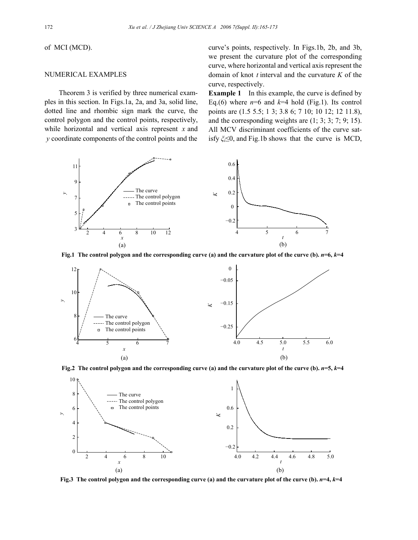of MCI (MCD).

## NUMERICAL EXAMPLES

Theorem 3 is verified by three numerical examples in this section. In Figs.1a, 2a, and 3a, solid line, dotted line and rhombic sign mark the curve, the control polygon and the control points, respectively, while horizontal and vertical axis represent *x* and *y* coordinate components of the control points and the

curve's points, respectively. In Figs.1b, 2b, and 3b, we present the curvature plot of the corresponding curve, where horizontal and vertical axis represent the domain of knot *t* interval and the curvature *K* of the curve, respectively.

**Example 1** In this example, the curve is defined by Eq.(6) where  $n=6$  and  $k=4$  hold (Fig.1). Its control points are (1.5 5.5; 1 3; 3.8 6; 7 10; 10 12; 12 11.8), and the corresponding weights are  $(1; 3; 3; 7; 9; 15)$ . All MCV discriminant coefficients of the curve satisfy *ξi*≤0, and Fig.1b shows that the curve is MCD,



**Fig.1** The control polygon and the corresponding curve (a) and the curvature plot of the curve (b).  $n=6$ ,  $k=4$ 



**Fig.2 The control polygon and the corresponding curve (a) and the curvature plot of the curve (b).** *n***=5,** *k***=4** 



**Fig.3** The control polygon and the corresponding curve (a) and the curvature plot of the curve (b).  $n=4$ ,  $k=4$